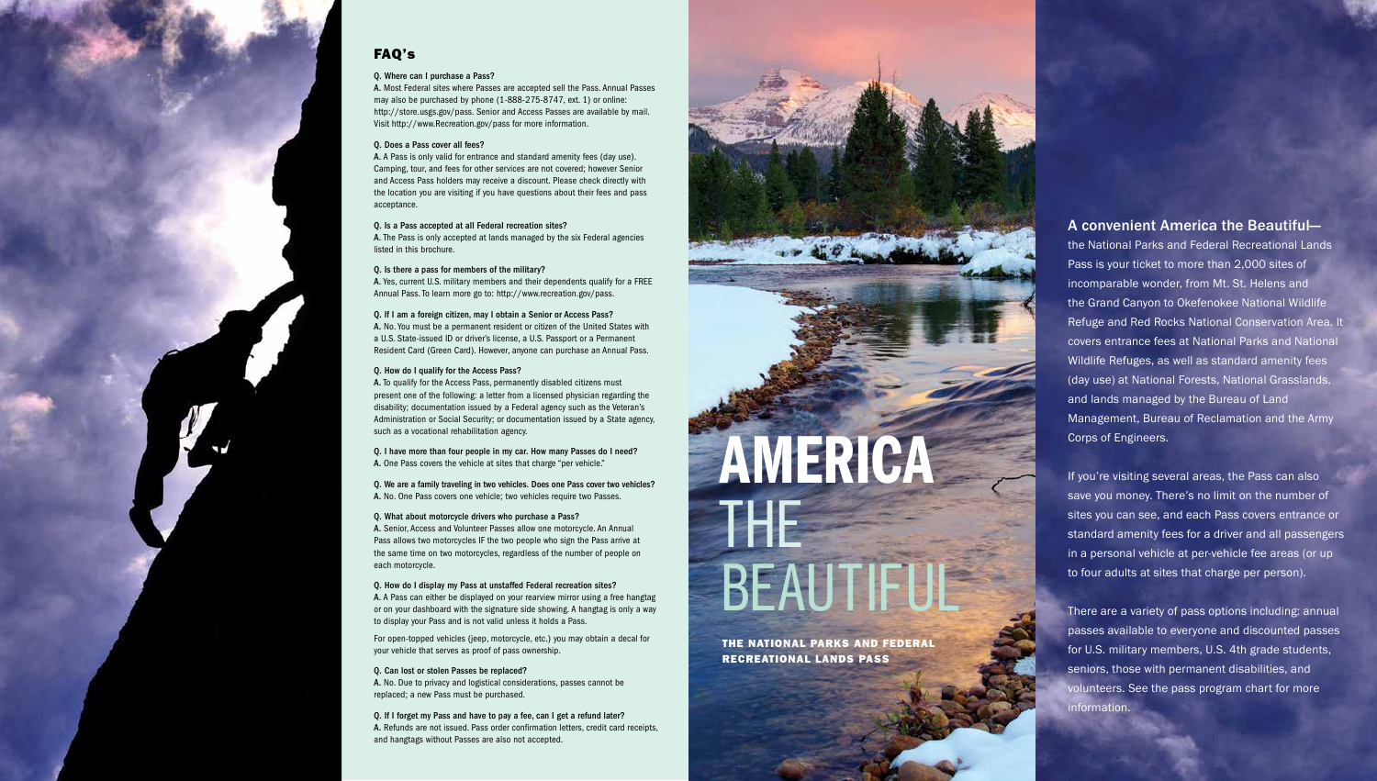# A convenient America the Beautiful—

the National Parks and Federal Recreational Lands Pass is your ticket to more than 2,000 sites of incomparable wonder, from Mt. St. Helens and the Grand Canyon to Okefenokee National Wildlife Refuge and Red Rocks National Conservation Area. It covers entrance fees at National Parks and National Wildlife Refuges, as well as standard amenity fees (day use) at National Forests, National Grasslands, and lands managed by the Bureau of Land Management, Bureau of Reclamation and the Army Corps of Engineers.

If you're visiting several areas, the Pass can also save you money. There's no limit on the number of sites you can see, and each Pass covers entrance or standard amenity fees for a driver and all passengers in a personal vehicle at per-vehicle fee areas (or up to four adults at sites that charge per person).

There are a variety of pass options including: annual passes available to everyone and discounted passes for U.S. military members, U.S. 4th grade students, seniors, those with permanent disabilities, and volunteers. See the pass program chart for more information.

# FAQ's

#### Q. Where can I purchase a Pass?

A. Most Federal sites where Passes are accepted sell the Pass. Annual Passes may also be purchased by phone (1-888-275-8747, ext. 1) or online: http://store.usgs.gov/pass. Senior and Access Passes are available by mail. Visit http://www.Recreation.gov/pass for more information.

### Q. Does a Pass cover all fees?

Q. We are a family traveling in two vehicles. Does one Pass cover two vehicles? A. No. One Pass covers one vehicle: two vehicles require two Passes.

A. A Pass is only valid for entrance and standard amenity fees (day use). Camping, tour, and fees for other services are not covered; however Senior and Access Pass holders may receive a discount. Please check directly with the location you are visiting if you have questions about their fees and pass acceptance.

### Q. Is a Pass accepted at all Federal recreation sites?

A. The Pass is only accepted at lands managed by the six Federal agencies listed in this brochure.

### Q. Is there a pass for members of the military?

A. Yes, current U.S. military members and their dependents qualify for a FREE Annual Pass. To learn more go to: http://www.recreation.gov/pass.

### Q. If I am a foreign citizen, may I obtain a Senior or Access Pass?

A. No. You must be a permanent resident or citizen of the United States with a U.S. State-issued ID or driver's license, a U.S. Passport or a Permanent Resident Card (Green Card). However, anyone can purchase an Annual Pass.

# Q. How do I qualify for the Access Pass?

A. To qualify for the Access Pass, permanently disabled citizens must present one of the following: a letter from a licensed physician regarding the disability; documentation issued by a Federal agency such as the Veteran's Administration or Social Security; or documentation issued by a State agency, such as a vocational rehabilitation agency.

Q. I have more than four people in my car. How many Passes do I need? A. One Pass covers the vehicle at sites that charge "per vehicle."

# Q. What about motorcycle drivers who purchase a Pass?

A. Senior, Access and Volunteer Passes allow one motorcycle. An Annual Pass allows two motorcycles IF the two people who sign the Pass arrive at the same time on two motorcycles, regardless of the number of people on each motorcycle.

#### Q. How do I display my Pass at unstaffed Federal recreation sites? A. A Pass can either be displayed on your rearview mirror using a free hangtag or on your dashboard with the signature side showing. A hangtag is only a way to display your Pass and is not valid unless it holds a Pass.

For open-topped vehicles (jeep, motorcycle, etc.) you may obtain a decal for your vehicle that serves as proof of pass ownership.

#### Q. Can lost or stolen Passes be replaced?

A. No. Due to privacy and logistical considerations, passes cannot be replaced; a new Pass must be purchased.

Q. If I forget my Pass and have to pay a fee, can I get a refund later? A. Refunds are not issued. Pass order confirmation letters, credit card receipts, and hangtags without Passes are also not accepted.

AMERICA

THE

BEAUTIFUL

THE NATIONAL PARKS AND FEDERAL RECREATIONAL LANDS PASS